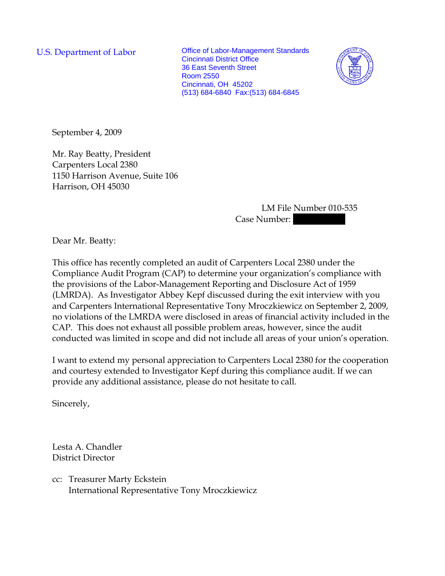U.S. Department of Labor **Office of Labor-Management Standards** Cincinnati District Office 36 East Seventh Street Room 2550 Cincinnati, OH 45202 (513) 684-6840 Fax:(513) 684-6845



September 4, 2009

Mr. Ray Beatty, President Carpenters Local 2380 1150 Harrison Avenue, Suite 106 Harrison, OH 45030

> LM File Number 010-535 Case Number:

Dear Mr. Beatty:

This office has recently completed an audit of Carpenters Local 2380 under the Compliance Audit Program (CAP) to determine your organization's compliance with the provisions of the Labor-Management Reporting and Disclosure Act of 1959 (LMRDA). As Investigator Abbey Kepf discussed during the exit interview with you and Carpenters International Representative Tony Mroczkiewicz on September 2, 2009, no violations of the LMRDA were disclosed in areas of financial activity included in the CAP. This does not exhaust all possible problem areas, however, since the audit conducted was limited in scope and did not include all areas of your union's operation.

I want to extend my personal appreciation to Carpenters Local 2380 for the cooperation and courtesy extended to Investigator Kepf during this compliance audit. If we can provide any additional assistance, please do not hesitate to call.

Sincerely,

Lesta A. Chandler District Director

cc: Treasurer Marty Eckstein International Representative Tony Mroczkiewicz